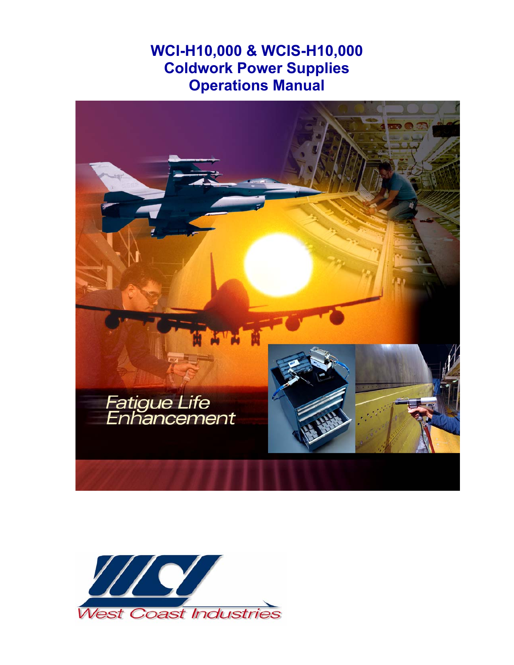# **WCI-H10,000 & WCIS-H10,000 Coldwork Power Supplies Operations Manual**



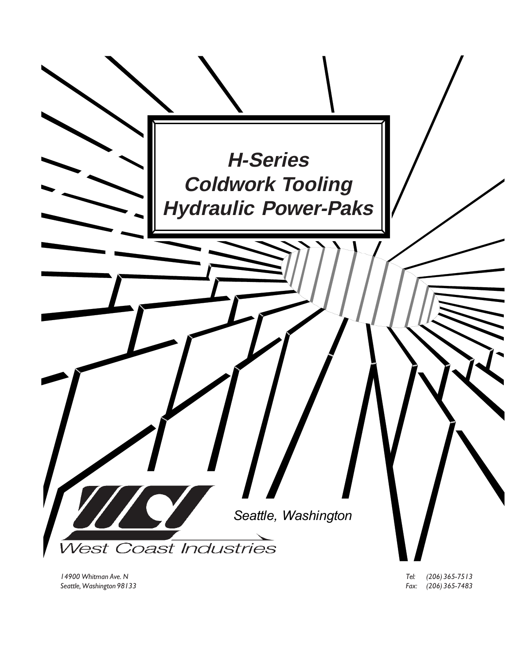

**Seattle, Washington 98133 Fax:** (206) 365-7483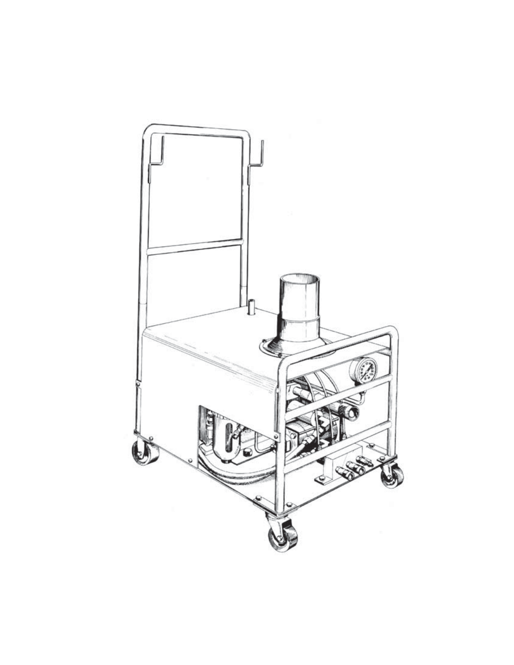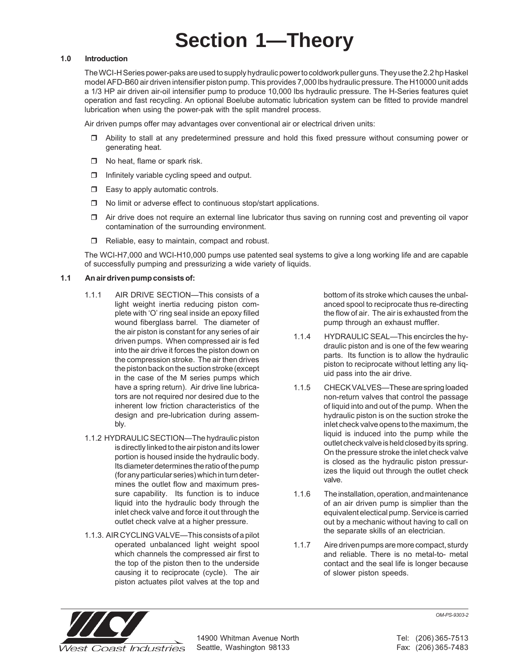# **Section 1—Theory**

### **1.0 Introduction**

The WCI-H Series power-paks are used to supply hydraulic power to coldwork puller guns. They use the 2.2 hp Haskel model AFD-B60 air driven intensifier piston pump. This provides 7,000 lbs hydraulic pressure. The H10000 unit adds a 1/3 HP air driven air-oil intensifier pump to produce 10,000 lbs hydraulic pressure. The H-Series features quiet operation and fast recycling. An optional Boelube automatic lubrication system can be fitted to provide mandrel lubrication when using the power-pak with the split mandrel process.

Air driven pumps offer may advantages over conventional air or electrical driven units:

- Ability to stall at any predetermined pressure and hold this fixed pressure without consuming power or generating heat.
- $\Box$  No heat, flame or spark risk.
- $\Box$  Infinitely variable cycling speed and output.
- $\Box$  Easy to apply automatic controls.
- $\Box$  No limit or adverse effect to continuous stop/start applications.
- Air drive does not require an external line lubricator thus saving on running cost and preventing oil vapor contamination of the surrounding environment.
- $\Box$  Reliable, easy to maintain, compact and robust.

The WCI-H7,000 and WCI-H10,000 pumps use patented seal systems to give a long working life and are capable of successfully pumping and pressurizing a wide variety of liquids.

#### **1.1 An air driven pump consists of:**

- 1.1.1 AIR DRIVE SECTION—This consists of a light weight inertia reducing piston complete with 'O' ring seal inside an epoxy filled wound fiberglass barrel. The diameter of the air piston is constant for any series of air driven pumps. When compressed air is fed into the air drive it forces the piston down on the compression stroke. The air then drives the piston back on the suction stroke (except in the case of the M series pumps which have a spring return). Air drive line lubricators are not required nor desired due to the inherent low friction characteristics of the design and pre-lubrication during assembly.
- 1.1.2 HYDRAULIC SECTION—The hydraulic piston is directly linked to the air piston and its lower portion is housed inside the hydraulic body. Its diameter determines the ratio of the pump (for any particular series) which in turn determines the outlet flow and maximum pressure capability. Its function is to induce liquid into the hydraulic body through the inlet check valve and force it out through the outlet check valve at a higher pressure.
- 1.1.3. AIR CYCLING VALVE—This consists of a pilot operated unbalanced light weight spool which channels the compressed air first to the top of the piston then to the underside causing it to reciprocate (cycle). The air piston actuates pilot valves at the top and

bottom of its stroke which causes the unbalanced spool to reciprocate thus re-directing the flow of air. The air is exhausted from the pump through an exhaust muffler.

- 1.1.4 HYDRAULIC SEAL—This encircles the hydraulic piston and is one of the few wearing parts. Its function is to allow the hydraulic piston to reciprocate without letting any liquid pass into the air drive.
- 1.1.5 CHECK VALVES—These are spring loaded non-return valves that control the passage of liquid into and out of the pump. When the hydraulic piston is on the suction stroke the inlet check valve opens to the maximum, the liquid is induced into the pump while the outlet check valve is held closed by its spring. On the pressure stroke the inlet check valve is closed as the hydraulic piston pressurizes the liquid out through the outlet check valve.
- 1.1.6 The installation, operation, and maintenance of an air driven pump is simplier than the equivalent electical pump. Service is carried out by a mechanic without having to call on the separate skills of an electrician.
- 1.1.7 Aire driven pumps are more compact, sturdy and reliable. There is no metal-to- metal contact and the seal life is longer because of slower piston speeds.



14900 Whitman Avenue North Tel: (206) 365-7513 Seattle, Washington 98133 Fax: (206) 365-7483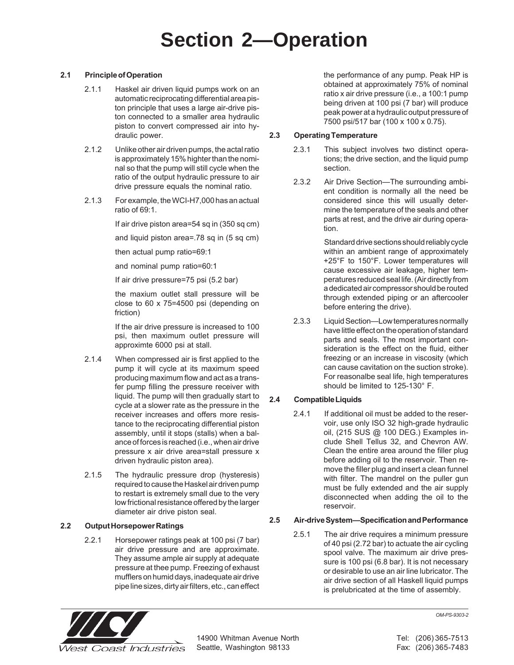# **Section 2—Operation**

## **2.1 Principle of Operation**

- 2.1.1 Haskel air driven liquid pumps work on an automatic reciprocating differential area piston principle that uses a large air-drive piston connected to a smaller area hydraulic piston to convert compressed air into hydraulic power.
- 2.1.2 Unlike other air driven pumps, the actal ratio is approximately 15% highter than the nominal so that the pump will still cycle when the ratio of the output hydraulic pressure to air drive pressure equals the nominal ratio.
- 2.1.3 For example, the WCI-H7,000 has an actual ratio of 69:1.

If air drive piston area=54 sq in (350 sq cm)

and liquid piston area=.78 sq in (5 sq cm)

then actual pump ratio=69:1

and nominal pump ratio=60:1

If air drive pressure=75 psi (5.2 bar)

the maxium outlet stall pressure will be close to 60 x 75=4500 psi (depending on friction)

If the air drive pressure is increased to 100 psi, then maximum outlet pressure will approximte 6000 psi at stall.

- 2.1.4 When compressed air is first applied to the pump it will cycle at its maximum speed producing maximum flow and act as a transfer pump filling the pressure receiver with liquid. The pump will then gradually start to cycle at a slower rate as the pressure in the receiver increases and offers more resistance to the reciprocating differential piston assembly, until it stops (stalls) when a balance of forces is reached (i.e., when air drive pressure x air drive area=stall pressure x driven hydraulic piston area).
- 2.1.5 The hydraulic pressure drop (hysteresis) required to cause the Haskel air driven pump to restart is extremely small due to the very low frictional resistance offered by the larger diameter air drive piston seal.

# **2.2 Output Horsepower Ratings**

2.2.1 Horsepower ratings peak at 100 psi (7 bar) air drive pressure and are approximate. They assume ample air supply at adequate pressure at thee pump. Freezing of exhaust mufflers on humid days, inadequate air drive pipe line sizes, dirty air filters, etc., can effect

the performance of any pump. Peak HP is obtained at approximately 75% of nominal ratio x air drive pressure (i.e., a 100:1 pump being driven at 100 psi (7 bar) will produce peak power at a hydraulic output pressure of 7500 psi/517 bar (100 x 100 x 0.75).

# **2.3 Operating Temperature**

- 2.3.1 This subject involves two distinct operations; the drive section, and the liquid pump section.
- 2.3.2 Air Drive Section—The surrounding ambient condition is normally all the need be considered since this will usually determine the temperature of the seals and other parts at rest, and the drive air during operation.

Standard drive sections should reliably cycle within an ambient range of approximately +25°F to 150°F. Lower temperatures will cause excessive air leakage, higher temperatures reduced seal life. (Air directly from a dedicated air compressor should be routed through extended piping or an aftercooler before entering the drive).

2.3.3 Liquid Section—Low temperatures normally have little effect on the operation of standard parts and seals. The most important consideration is the effect on the fluid, either freezing or an increase in viscosity (which can cause cavitation on the suction stroke). For reasonalbe seal life, high temperatures should be limited to 125-130° F.

# **2.4 Compatible Liquids**

2.4.1 If additional oil must be added to the reservoir, use only ISO 32 high-grade hydraulic oil, (215 SUS @ 100 DEG.) Examples include Shell Tellus 32, and Chevron AW. Clean the entire area around the filler plug before adding oil to the reservoir. Then remove the filler plug and insert a clean funnel with filter. The mandrel on the puller gun must be fully extended and the air supply disconnected when adding the oil to the reservoir.

# **2.5 Air-drive System—Specification and Performance**

2.5.1 The air drive requires a minimum pressure of 40 psi (2.72 bar) to actuate the air cycling spool valve. The maximum air drive pressure is 100 psi (6.8 bar). It is not necessary or desirable to use an air line lubricator. The air drive section of all Haskell liquid pumps is prelubricated at the time of assembly.

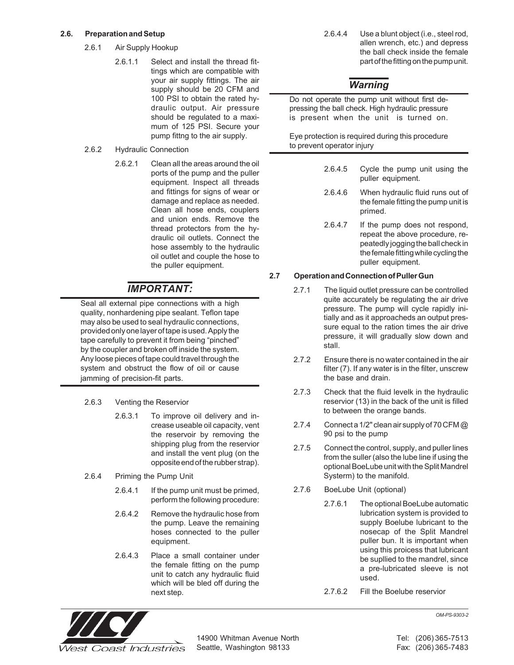### **2.6. Preparation and Setup**

- 2.6.1 Air Supply Hookup
	- 2.6.1.1 Select and install the thread fittings which are compatible with your air supply fittings. The air supply should be 20 CFM and 100 PSI to obtain the rated hydraulic output. Air pressure should be regulated to a maximum of 125 PSI. Secure your pump fittng to the air supply.
- 2.6.2 Hydraulic Connection
	- 2.6.2.1 Clean all the areas around the oil ports of the pump and the puller equipment. Inspect all threads and fittings for signs of wear or damage and replace as needed. Clean all hose ends, couplers and union ends. Remove the thread protectors from the hydraulic oil outlets. Connect the hose assembly to the hydraulic oil outlet and couple the hose to the puller equipment.

# *IMPORTANT:*

Seal all external pipe connections with a high quality, nonhardening pipe sealant. Teflon tape may also be used to seal hydraulic connections, provided only one layer of tape is used. Apply the tape carefully to prevent it from being "pinched" by the coupler and broken off inside the system. Any loose pieces of tape could travel through the system and obstruct the flow of oil or cause jamming of precision-fit parts.

- 2.6.3 Venting the Reservior
	- 2.6.3.1 To improve oil delivery and increase useable oil capacity, vent the reservoir by removing the shipping plug from the reservior and install the vent plug (on the opposite end of the rubber strap).
- 2.6.4 Priming the Pump Unit
	- 2.6.4.1 If the pump unit must be primed, perform the following procedure:
	- 2.6.4.2 Remove the hydraulic hose from the pump. Leave the remaining hoses connected to the puller equipment.
	- 2.6.4.3 Place a small container under the female fitting on the pump unit to catch any hydraulic fluid which will be bled off during the next step.



2.7.6.1 The optional BoeLube automatic

- lubrication system is provided to supply Boelube lubricant to the nosecap of the Split Mandrel puller bun. It is important when using this proicess that lubricant be supllied to the mandrel, since a pre-lubricated sleeve is not used.
- 2.7.6.2 Fill the Boelube reservior

2.6.4.4 Use a blunt object (i.e., steel rod, allen wrench, etc.) and depress the ball check inside the female part of the fitting on the pump unit.

# *Warning*

Do not operate the pump unit without first depressing the ball check. High hydraulic pressure is present when the unit is turned on.

Eye protection is required during this procedure to prevent operator injury

- 2.6.4.5 Cycle the pump unit using the puller equipment.
- 2.6.4.6 When hydraulic fluid runs out of the female fitting the pump unit is primed.
- 2.6.4.7 If the pump does not respond, repeat the above procedure, repeatedly jogging the ball check in the female fitting while cycling the puller equipment.

# **2.7 Operation and Connection of Puller Gun**

- 2.7.1 The liquid outlet pressure can be controlled quite accurately be regulating the air drive pressure. The pump will cycle rapidly initially and as it approacheds an output pressure equal to the ration times the air drive pressure, it will gradually slow down and stall.
- 2.7.2 Ensure there is no water contained in the air filter (7). If any water is in the filter, unscrew the base and drain.
- 2.7.3 Check that the fluid levelk in the hydraulic reservior (13) in the back of the unit is filled to between the orange bands.
- 2.7.4 Connect a 1/2" clean air supply of 70 CFM @ 90 psi to the pump

2.7.5 Connect the control, supply, and puller lines

Systerm) to the manifold.

2.7.6 BoeLube Unit (optional)

from the suller (also the lube line if using the optional BoeLube unit with the Split Mandrel

*OM-PS-9303-2*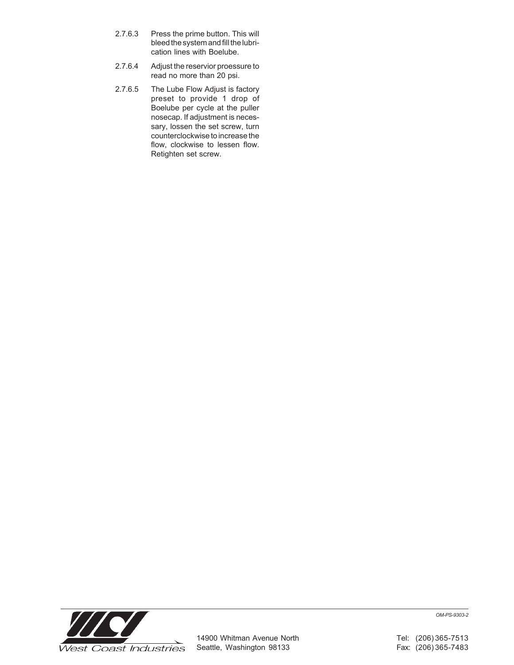- 2.7.6.3 Press the prime button. This will bleed the system and fill the lubrication lines with Boelube.
- 2.7.6.4 Adjust the reservior proessure to read no more than 20 psi.
- 2.7.6.5 The Lube Flow Adjust is factory preset to provide 1 drop of Boelube per cycle at the puller nosecap. If adjustment is necessary, lossen the set screw, turn counterclockwise to increase the flow, clockwise to lessen flow. Retighten set screw.



14900 Whitman Avenue North Tel: (206) 365-7513<br>
Seattle, Washington 98133 Tax: (206) 365-7483 Seattle, Washington 98133

*OM-PS-9303-2*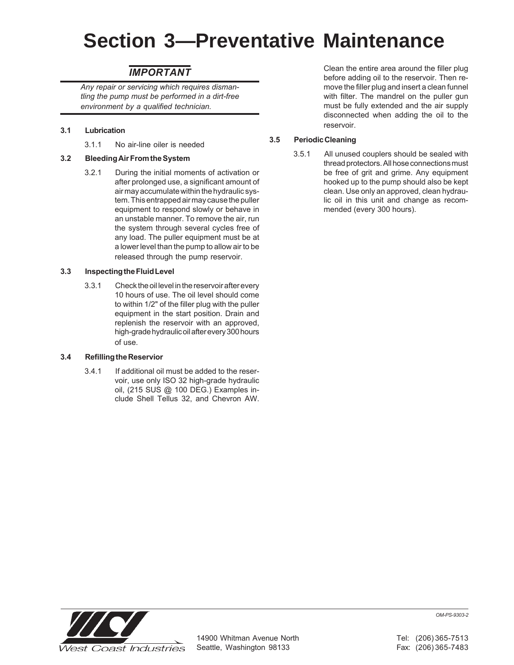# **Section 3—Preventative Maintenance**

# *IMPORTANT*

*Any repair or servicing which requires dismantling the pump must be performed in a dirt-free environment by a qualified technician.*

## **3.1 Lubrication**

3.1.1 No air-line oiler is needed

### **3.2 Bleeding Air From the System**

3.2.1 During the initial moments of activation or after prolonged use, a significant amount of air may accumulate within the hydraulic system. This entrapped air may cause the puller equipment to respond slowly or behave in an unstable manner. To remove the air, run the system through several cycles free of any load. The puller equipment must be at a lower level than the pump to allow air to be released through the pump reservoir.

### **3.3 Inspecting the Fluid Level**

3.3.1 Check the oil level in the reservoir after every 10 hours of use. The oil level should come to within 1/2" of the filler plug with the puller equipment in the start position. Drain and replenish the reservoir with an approved, high-grade hydraulic oil after every 300 hours of use.

### **3.4 Refilling the Reservior**

3.4.1 If additional oil must be added to the reservoir, use only ISO 32 high-grade hydraulic oil, (215 SUS @ 100 DEG.) Examples include Shell Tellus 32, and Chevron AW.

Clean the entire area around the filler plug before adding oil to the reservoir. Then remove the filler plug and insert a clean funnel with filter. The mandrel on the puller gun must be fully extended and the air supply disconnected when adding the oil to the reservoir.

## **3.5 Periodic Cleaning**

3.5.1 All unused couplers should be sealed with thread protectors. All hose connections must be free of grit and grime. Any equipment hooked up to the pump should also be kept clean. Use only an approved, clean hydraulic oil in this unit and change as recommended (every 300 hours).



14900 Whitman Avenue North Tel: (206) 365-7513 Seattle, Washington 98133 **Fax: (206)** 365-7483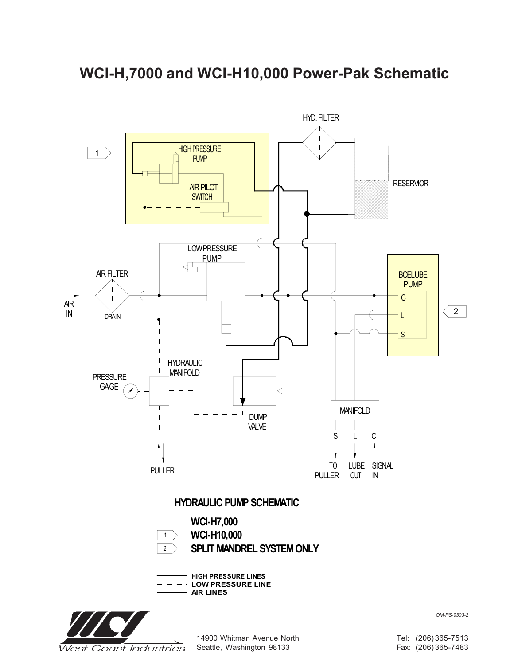



14900 Whitman Avenue North Tel: (206) 365-7513<br>
Seattle, Washington 98133 Tax: (206) 365-7483 Seattle, Washington 98133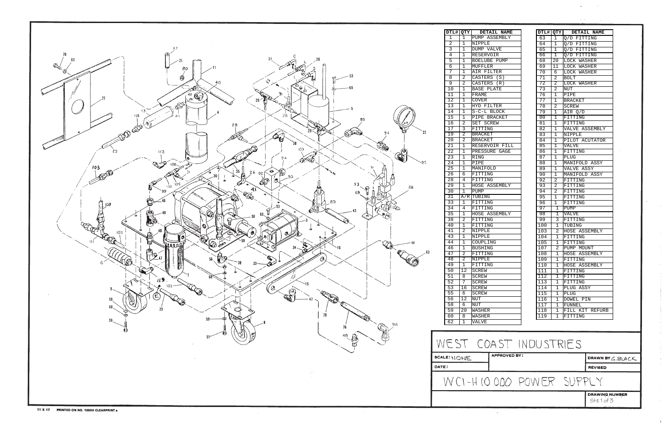

DRAWING NUMBER  $Sht1of3$ 

# WCI-H 10 000 POWER SUPPLY

# **REVISED**

APPROVED BY:

DRAWN BY G.BLACK

# WEST COAST INDUSTRIES

| <b>TAIL NAME</b> |          |    |                    |
|------------------|----------|----|--------------------|
|                  | DTL# QTY |    | <b>DETAIL NAME</b> |
| ASSEMBLY         | 63       | ı  | Q/D FITTING        |
| E                | 64       | 1  | O/D FITTING        |
| VALVE            | 65       | 1  | O/D FITTING        |
| VOIR             | 66       | 1  | O/D FITTING        |
| BE PUMP          | 68       | 20 | LOCK WASHER        |
| ER               | 69       | 11 | LOCK WASHER        |
| ILTER            | 70       | 6  | LOCK WASHER        |
| RS (S)           | 71       | 2  | BOLT               |
| RS (R)           | 72       | 2  | LOCK WASHER        |
| PLATE            | 73       | 2  | NUT                |
|                  | 76       | 1  | PIPE               |
|                  | 77       | 1  | BRACKET            |
| ILTER            | 78       | 2  | SCREW              |
| BLOCK            | 79       | 1  | AIR Q/D            |
| BRACKET          | 80       | 1  | FITTING            |
| CREW             | 81       | 1  | FITTING            |
| ΝG               | 82       | 1  | VALVE ASSEMBLY     |
| EТ               | 83       | 1  | NIPPLE             |
| EТ               | 84       | 1  |                    |
|                  |          | 1  | PILOT ACUTATOR     |
| VOIR FILL        | 85       |    | VALVE              |
| URE GAGE         | 86       | 1  | FITTING            |
|                  | 87       | 1  | <b>PLUG</b>        |
|                  | 88       | 1  | MANIFOLD ASSY      |
| OLD              | 89       | 1  | VALVE ASSY         |
| ΝG               | 90       | 1  | MANIFOLD ASSY      |
| ΝG               | 92       | 2  | FITTING            |
| ASSEMBLY         | 93       | 2  | FITTING            |
|                  | 94       | 2  | FITTING            |
| G                | 95       | 1  | FITTING            |
| ΝG               | 96       | ı  | FITTING            |
| ΝG               | 97       | 1  | PUMP               |
| ASSEMBLY         | 98       | 1  | VALVE              |
| ΝG               | 99       | 3  | FITTING            |
| ΝG               | 100      | 1  | TUBING             |
| Ε                | 103      | 2  | HOSE ASSEMBLY      |
| E                | 104      | 1  | FITTING            |
| ING              | 105      | ı  | FITTING            |
| ΝG               | 107      | 2  | PUMP MOUNT         |
| ΝG               | 108      | 1  | HOSE ASSEMBLY      |
| E                | 109      | 1  | FITTING            |
| ΝG               | 110      | 1  | HOSE ASSEMBLY      |
|                  |          |    |                    |
|                  | 111      | 1  | FITTING            |
|                  | 112      | 1  | FITTING            |
|                  | 113      | 1  | FITTING            |
|                  | 114      | 1  | PLUG ASSY          |
|                  | 115      | 1  | PLUG               |
|                  | 116      | 1  | DOWEL PIN          |
|                  | 117      | 1  | FUNNEL             |
| R                | 118      | 1  | FILL KIT REFURB    |
|                  |          |    |                    |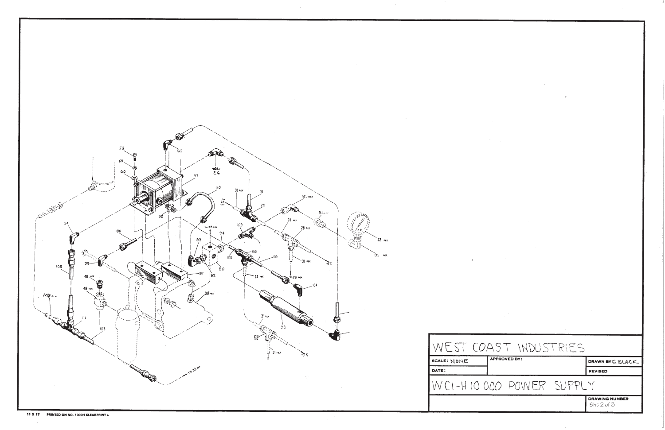

| AST INDUSTRIES      |                                     |
|---------------------|-------------------------------------|
| <b>APPROVED BY:</b> | DRAWN BY G, BLACK<br><b>REVISED</b> |
| YOO POWER SUPPLY    |                                     |
|                     |                                     |
|                     | <b>DRAWING NUMBER</b><br>Sht 2 of 3 |

 $\mathbf{r}$